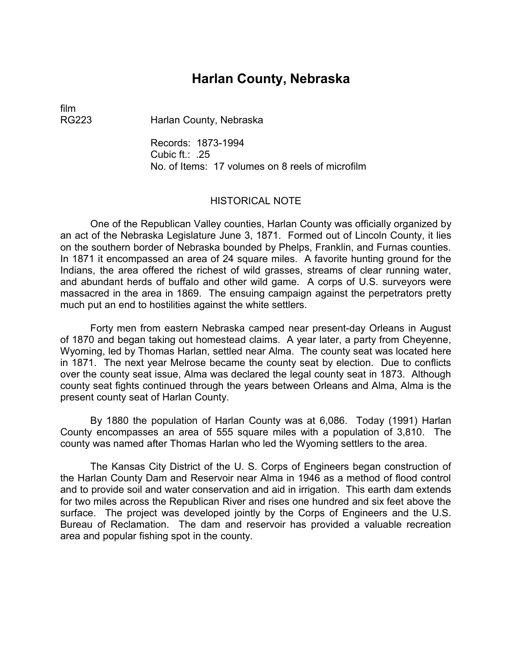# **Harlan County, Nebraska**

film

RG223 Harlan County, Nebraska

Records: 1873-1994 Cubic ft.: .25 No. of Items: 17 volumes on 8 reels of microfilm

## HISTORICAL NOTE

One of the Republican Valley counties, Harlan County was officially organized by an act of the Nebraska Legislature June 3, 1871. Formed out of Lincoln County, it lies on the southern border of Nebraska bounded by Phelps, Franklin, and Furnas counties. In 1871 it encompassed an area of 24 square miles. A favorite hunting ground for the Indians, the area offered the richest of wild grasses, streams of clear running water, and abundant herds of buffalo and other wild game. A corps of U.S. surveyors were massacred in the area in 1869. The ensuing campaign against the perpetrators pretty much put an end to hostilities against the white settlers.

Forty men from eastern Nebraska camped near present-day Orleans in August of 1870 and began taking out homestead claims. A year later, a party from Cheyenne, Wyoming, led by Thomas Harlan, settled near Alma. The county seat was located here in 1871. The next year Melrose became the county seat by election. Due to conflicts over the county seat issue, Alma was declared the legal county seat in 1873. Although county seat fights continued through the years between Orleans and Alma, Alma is the present county seat of Harlan County.

By 1880 the population of Harlan County was at 6,086. Today (1991) Harlan County encompasses an area of 555 square miles with a population of 3,810. The county was named after Thomas Harlan who led the Wyoming settlers to the area.

The Kansas City District of the U. S. Corps of Engineers began construction of the Harlan County Dam and Reservoir near Alma in 1946 as a method of flood control and to provide soil and water conservation and aid in irrigation. This earth dam extends for two miles across the Republican River and rises one hundred and six feet above the surface. The project was developed jointly by the Corps of Engineers and the U.S. Bureau of Reclamation. The dam and reservoir has provided a valuable recreation area and popular fishing spot in the county.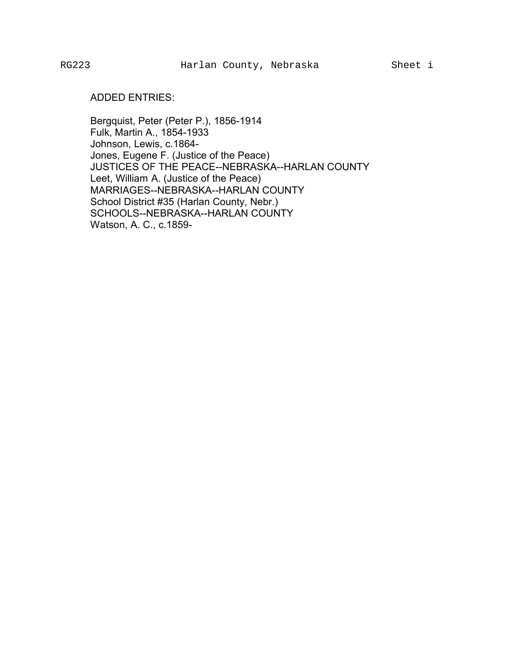## ADDED ENTRIES:

Bergquist, Peter (Peter P.), 1856-1914 Fulk, Martin A., 1854-1933 Johnson, Lewis, c.1864- Jones, Eugene F. (Justice of the Peace) JUSTICES OF THE PEACE--NEBRASKA--HARLAN COUNTY Leet, William A. (Justice of the Peace) MARRIAGES--NEBRASKA--HARLAN COUNTY School District #35 (Harlan County, Nebr.) SCHOOLS--NEBRASKA--HARLAN COUNTY Watson, A. C., c.1859-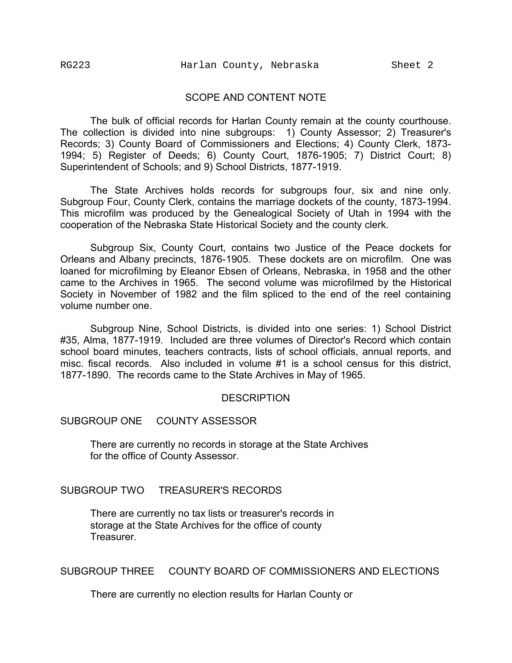#### SCOPE AND CONTENT NOTE

The bulk of official records for Harlan County remain at the county courthouse. The collection is divided into nine subgroups: 1) County Assessor; 2) Treasurer's Records; 3) County Board of Commissioners and Elections; 4) County Clerk, 1873- 1994; 5) Register of Deeds; 6) County Court, 1876-1905; 7) District Court; 8) Superintendent of Schools; and 9) School Districts, 1877-1919.

The State Archives holds records for subgroups four, six and nine only. Subgroup Four, County Clerk, contains the marriage dockets of the county, 1873-1994. This microfilm was produced by the Genealogical Society of Utah in 1994 with the cooperation of the Nebraska State Historical Society and the county clerk.

Subgroup Six, County Court, contains two Justice of the Peace dockets for Orleans and Albany precincts, 1876-1905. These dockets are on microfilm. One was loaned for microfilming by Eleanor Ebsen of Orleans, Nebraska, in 1958 and the other came to the Archives in 1965. The second volume was microfilmed by the Historical Society in November of 1982 and the film spliced to the end of the reel containing volume number one.

Subgroup Nine, School Districts, is divided into one series: 1) School District #35, Alma, 1877-1919. Included are three volumes of Director's Record which contain school board minutes, teachers contracts, lists of school officials, annual reports, and misc. fiscal records. Also included in volume #1 is a school census for this district, 1877-1890. The records came to the State Archives in May of 1965.

#### **DESCRIPTION**

#### SUBGROUP ONE COUNTY ASSESSOR

There are currently no records in storage at the State Archives for the office of County Assessor.

# SUBGROUP TWO TREASURER'S RECORDS

There are currently no tax lists or treasurer's records in storage at the State Archives for the office of county **Treasurer** 

# SUBGROUP THREE COUNTY BOARD OF COMMISSIONERS AND ELECTIONS

There are currently no election results for Harlan County or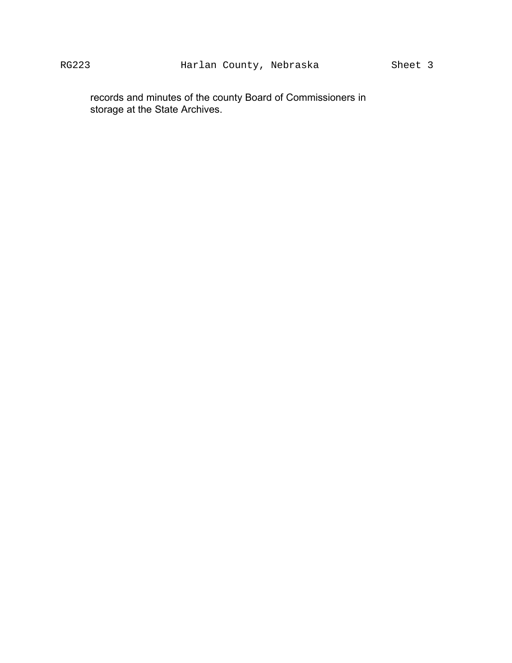records and minutes of the county Board of Commissioners in storage at the State Archives.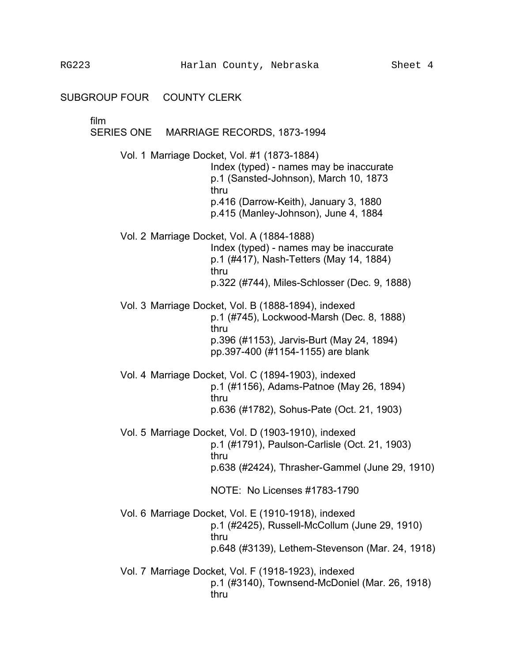film

# SERIES ONE MARRIAGE RECORDS, 1873-1994

Vol. 1 Marriage Docket, Vol. #1 (1873-1884) Index (typed) - names may be inaccurate p.1 (Sansted-Johnson), March 10, 1873 thru p.416 (Darrow-Keith), January 3, 1880 p.415 (Manley-Johnson), June 4, 1884

Vol. 2 Marriage Docket, Vol. A (1884-1888) Index (typed) - names may be inaccurate p.1 (#417), Nash-Tetters (May 14, 1884) thru p.322 (#744), Miles-Schlosser (Dec. 9, 1888)

Vol. 3 Marriage Docket, Vol. B (1888-1894), indexed p.1 (#745), Lockwood-Marsh (Dec. 8, 1888) thru p.396 (#1153), Jarvis-Burt (May 24, 1894) pp.397-400 (#1154-1155) are blank

Vol. 4 Marriage Docket, Vol. C (1894-1903), indexed p.1 (#1156), Adams-Patnoe (May 26, 1894) thru p.636 (#1782), Sohus-Pate (Oct. 21, 1903)

Vol. 5 Marriage Docket, Vol. D (1903-1910), indexed p.1 (#1791), Paulson-Carlisle (Oct. 21, 1903) thru p.638 (#2424), Thrasher-Gammel (June 29, 1910)

NOTE: No Licenses #1783-1790

Vol. 6 Marriage Docket, Vol. E (1910-1918), indexed p.1 (#2425), Russell-McCollum (June 29, 1910) thru p.648 (#3139), Lethem-Stevenson (Mar. 24, 1918)

Vol. 7 Marriage Docket, Vol. F (1918-1923), indexed p.1 (#3140), Townsend-McDoniel (Mar. 26, 1918) thru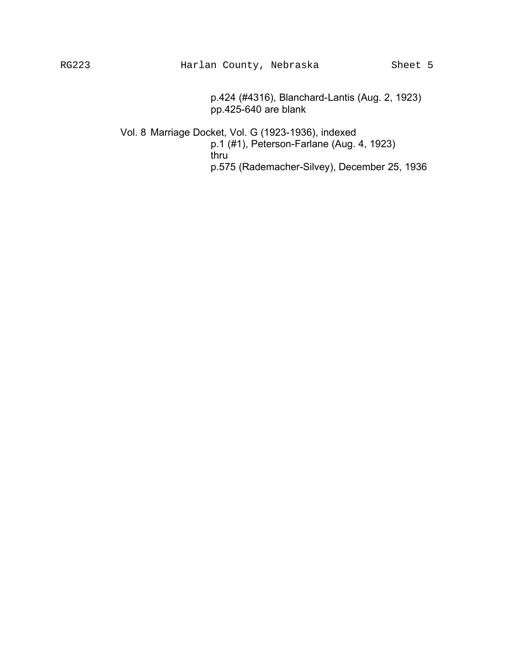p.424 (#4316), Blanchard-Lantis (Aug. 2, 1923) pp.425-640 are blank

Vol. 8 Marriage Docket, Vol. G (1923-1936), indexed p.1 (#1), Peterson-Farlane (Aug. 4, 1923) thru p.575 (Rademacher-Silvey), December 25, 1936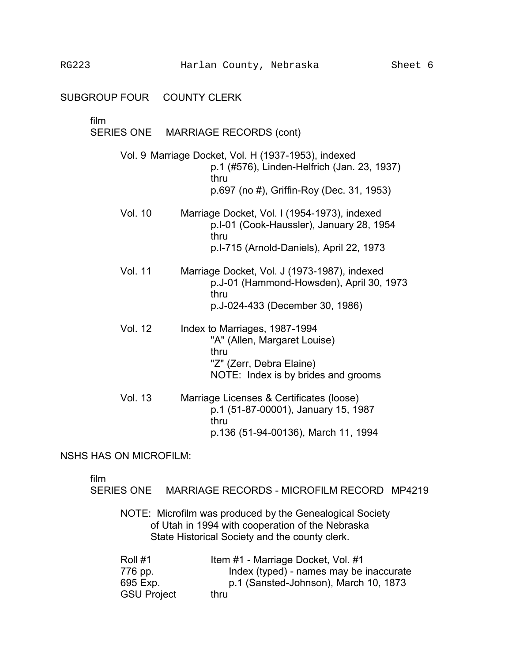#### SUBGROUP FOUR COUNTY CLERK

# film

# SERIES ONE MARRIAGE RECORDS (cont)

Vol. 9 Marriage Docket, Vol. H (1937-1953), indexed p.1 (#576), Linden-Helfrich (Jan. 23, 1937) thru p.697 (no #), Griffin-Roy (Dec. 31, 1953)

- Vol. 10 Marriage Docket, Vol. I (1954-1973), indexed p.I-01 (Cook-Haussler), January 28, 1954 thru p.I-715 (Arnold-Daniels), April 22, 1973
- Vol. 11 Marriage Docket, Vol. J (1973-1987), indexed p.J-01 (Hammond-Howsden), April 30, 1973 thru p.J-024-433 (December 30, 1986)
- Vol. 12 Index to Marriages, 1987-1994 "A" (Allen, Margaret Louise) thru "Z" (Zerr, Debra Elaine) NOTE: Index is by brides and grooms
- Vol. 13 Marriage Licenses & Certificates (loose) p.1 (51-87-00001), January 15, 1987 thru p.136 (51-94-00136), March 11, 1994

## NSHS HAS ON MICROFILM:

film

SERIES ONE MARRIAGE RECORDS - MICROFILM RECORD MP4219

NOTE: Microfilm was produced by the Genealogical Society of Utah in 1994 with cooperation of the Nebraska State Historical Society and the county clerk.

| Roll #1            | Item #1 - Marriage Docket, Vol. #1      |
|--------------------|-----------------------------------------|
| 776 pp.            | Index (typed) - names may be inaccurate |
| 695 Exp.           | p.1 (Sansted-Johnson), March 10, 1873   |
| <b>GSU Project</b> | thru                                    |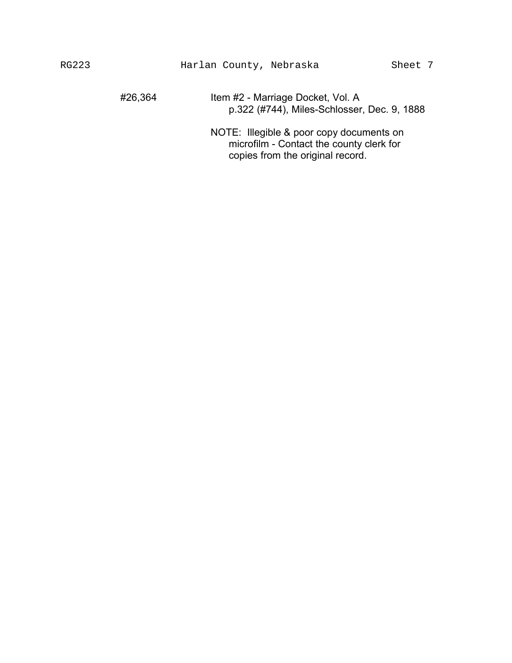#26,364 Item #2 - Marriage Docket, Vol. A p.322 (#744), Miles-Schlosser, Dec. 9, 1888

NOTE: Illegible & poor copy documents on microfilm - Contact the county clerk for copies from the original record.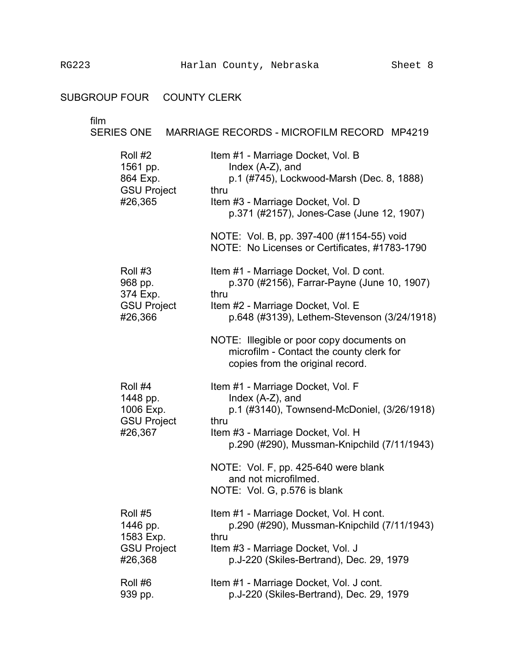# SUBGROUP FOUR COUNTY CLERK

film

# SERIES ONE MARRIAGE RECORDS - MICROFILM RECORD MP4219

| Roll #2<br>1561 pp.<br>864 Exp.<br><b>GSU Project</b><br>#26,365 | Item #1 - Marriage Docket, Vol. B<br>Index $(A-Z)$ , and<br>p.1 (#745), Lockwood-Marsh (Dec. 8, 1888)<br>thru<br>Item #3 - Marriage Docket, Vol. D<br>p.371 (#2157), Jones-Case (June 12, 1907)<br>NOTE: Vol. B, pp. 397-400 (#1154-55) void |
|------------------------------------------------------------------|----------------------------------------------------------------------------------------------------------------------------------------------------------------------------------------------------------------------------------------------|
| Roll #3                                                          | NOTE: No Licenses or Certificates, #1783-1790<br>Item #1 - Marriage Docket, Vol. D cont.                                                                                                                                                     |
| 968 pp.<br>374 Exp.<br><b>GSU Project</b>                        | p.370 (#2156), Farrar-Payne (June 10, 1907)<br>thru<br>Item #2 - Marriage Docket, Vol. E                                                                                                                                                     |
| #26,366                                                          | p.648 (#3139), Lethem-Stevenson (3/24/1918)<br>NOTE: Illegible or poor copy documents on                                                                                                                                                     |
|                                                                  | microfilm - Contact the county clerk for<br>copies from the original record.                                                                                                                                                                 |
| Roll #4<br>1448 pp.<br>1006 Exp.<br><b>GSU Project</b>           | Item #1 - Marriage Docket, Vol. F<br>Index $(A-Z)$ , and<br>p.1 (#3140), Townsend-McDoniel, (3/26/1918)<br>thru                                                                                                                              |
| #26,367                                                          | Item #3 - Marriage Docket, Vol. H<br>p.290 (#290), Mussman-Knipchild (7/11/1943)                                                                                                                                                             |
|                                                                  | NOTE: Vol. F, pp. 425-640 were blank<br>and not microfilmed.<br>NOTE: Vol. G, p.576 is blank                                                                                                                                                 |
| Roll #5<br>1446 pp.<br>1583 Exp.                                 | Item #1 - Marriage Docket, Vol. H cont.<br>p.290 (#290), Mussman-Knipchild (7/11/1943)<br>thru                                                                                                                                               |
| <b>GSU Project</b><br>#26,368                                    | Item #3 - Marriage Docket, Vol. J<br>p.J-220 (Skiles-Bertrand), Dec. 29, 1979                                                                                                                                                                |
| Roll #6<br>939 pp.                                               | Item #1 - Marriage Docket, Vol. J cont.<br>p.J-220 (Skiles-Bertrand), Dec. 29, 1979                                                                                                                                                          |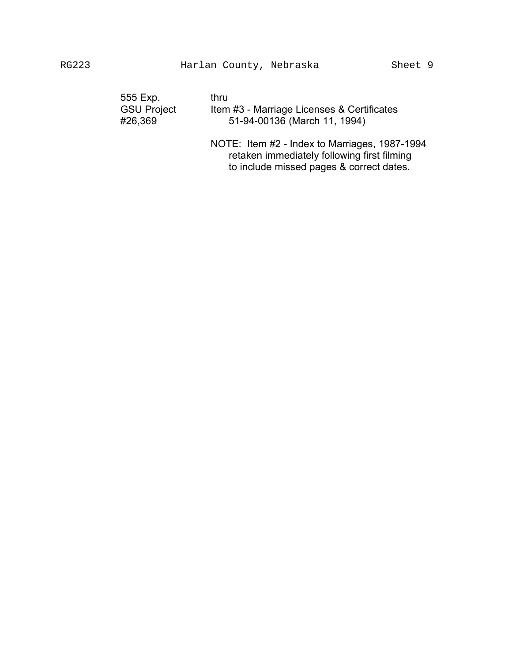| thru                                       |
|--------------------------------------------|
| Item #3 - Marriage Licenses & Certificates |
| 51-94-00136 (March 11, 1994)               |
|                                            |

NOTE: Item #2 - Index to Marriages, 1987-1994 retaken immediately following first filming to include missed pages & correct dates.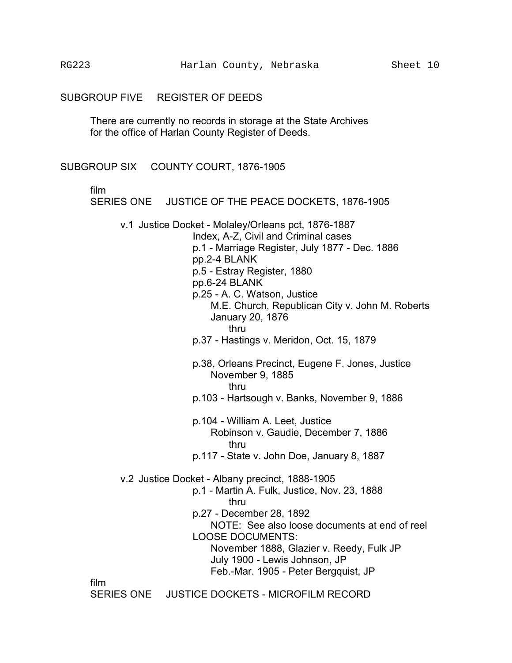#### SUBGROUP FIVE REGISTER OF DEEDS

There are currently no records in storage at the State Archives for the office of Harlan County Register of Deeds.

#### SUBGROUP SIX COUNTY COURT, 1876-1905

film

SERIES ONE JUSTICE OF THE PEACE DOCKETS, 1876-1905

v.1 Justice Docket - Molaley/Orleans pct, 1876-1887 Index, A-Z, Civil and Criminal cases

> p.1 - Marriage Register, July 1877 - Dec. 1886 pp.2-4 BLANK p.5 - Estray Register, 1880 pp.6-24 BLANK p.25 - A. C. Watson, Justice M.E. Church, Republican City v. John M. Roberts January 20, 1876 thru p.37 - Hastings v. Meridon, Oct. 15, 1879 p.38, Orleans Precinct, Eugene F. Jones, Justice November 9, 1885 thru

- p.103 Hartsough v. Banks, November 9, 1886
- p.104 William A. Leet, Justice Robinson v. Gaudie, December 7, 1886 thru
- p.117 State v. John Doe, January 8, 1887
- v.2 Justice Docket Albany precinct, 1888-1905
	- p.1 Martin A. Fulk, Justice, Nov. 23, 1888 thru p.27 - December 28, 1892 NOTE: See also loose documents at end of reel LOOSE DOCUMENTS:

November 1888, Glazier v. Reedy, Fulk JP July 1900 - Lewis Johnson, JP Feb.-Mar. 1905 - Peter Bergquist, JP

film

SERIES ONE JUSTICE DOCKETS - MICROFILM RECORD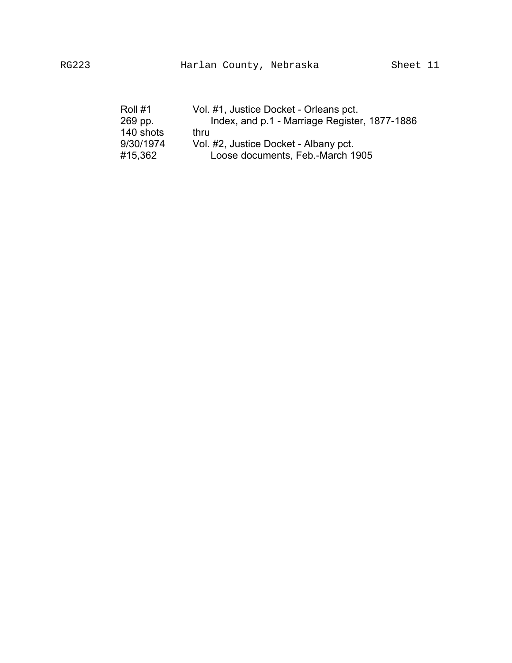| Roll #1   | Vol. #1, Justice Docket - Orleans pct.        |
|-----------|-----------------------------------------------|
| 269 pp.   | Index, and p.1 - Marriage Register, 1877-1886 |
| 140 shots | thru                                          |
| 9/30/1974 | Vol. #2, Justice Docket - Albany pct.         |
| #15,362   | Loose documents, Feb.-March 1905              |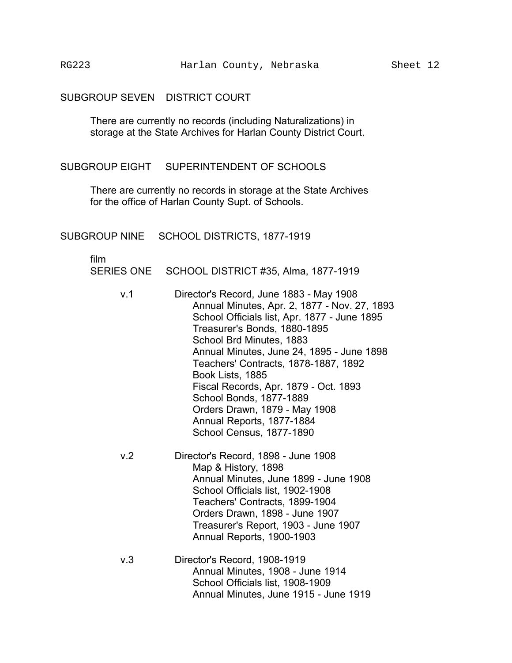# SUBGROUP SEVEN DISTRICT COURT

There are currently no records (including Naturalizations) in storage at the State Archives for Harlan County District Court.

SUBGROUP EIGHT SUPERINTENDENT OF SCHOOLS

There are currently no records in storage at the State Archives for the office of Harlan County Supt. of Schools.

SUBGROUP NINE SCHOOL DISTRICTS, 1877-1919

film �

SERIES ONE SCHOOL DISTRICT #35, Alma, 1877-1919

- v.1 � Director's Record, June 1883 May 1908 Annual Minutes, Apr. 2, 1877 - Nov. 27, 1893 School Officials list, Apr. 1877 - June 1895 Annual Minutes, June 24, 1895 - June 1898 Orders Drawn, 1879 - May 1908 Treasurer's Bonds, 1880-1895 School Brd Minutes, 1883 Teachers' Contracts, 1878-1887, 1892 Book Lists, 1885 Fiscal Records, Apr. 1879 - Oct. 1893 School Bonds, 1877-1889 Annual Reports, 1877-1884 School Census, 1877-1890
- v.2 � Director's Record, 1898 June 1908 Annual Minutes, June 1899 - June 1908 Orders Drawn, 1898 - June 1907 Treasurer's Report, 1903 - June 1907 Map & History, 1898 School Officials list, 1902-1908 Teachers' Contracts, 1899-1904 Annual Reports, 1900-1903
- v.3 Director's Record, 1908-1919 Annual Minutes, 1908 - June 1914 School Officials list, 1908-1909 Annual Minutes, June 1915 - June 1919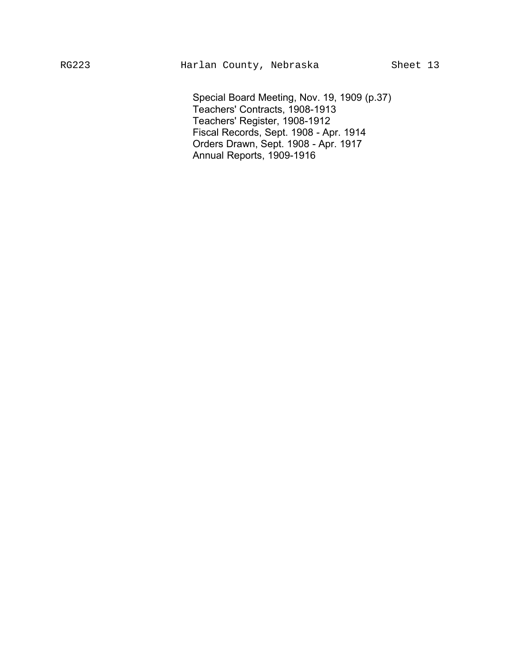Special Board Meeting, Nov. 19, 1909 (p.37) � Teachers' Contracts, 1908-1913 � Teachers' Register, 1908-1912 � Orders Drawn, Sept. 1908 - Apr. 1917 � Fiscal Records, Sept. 1908 - Apr. 1914 Annual Reports, 1909-1916